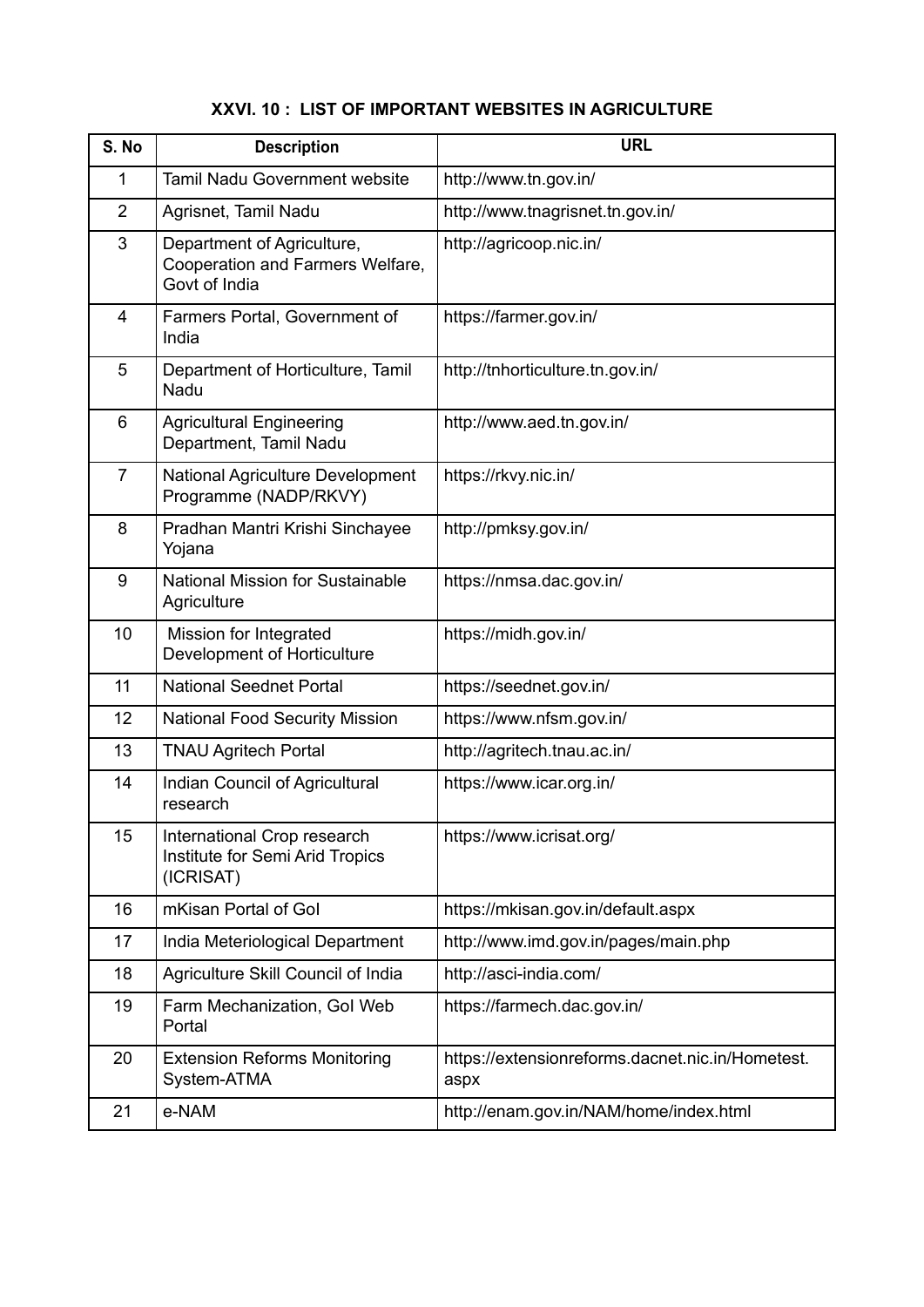## **XXVI. 10 : LIST OF IMPORTANT WEBSITES IN AGRICULTURE**

| S. No          | <b>Description</b>                                                              | <b>URL</b>                                               |
|----------------|---------------------------------------------------------------------------------|----------------------------------------------------------|
| 1              | <b>Tamil Nadu Government website</b>                                            | http://www.tn.gov.in/                                    |
| $\overline{2}$ | Agrisnet, Tamil Nadu                                                            | http://www.tnagrisnet.tn.gov.in/                         |
| 3              | Department of Agriculture,<br>Cooperation and Farmers Welfare,<br>Govt of India | http://agricoop.nic.in/                                  |
| 4              | Farmers Portal, Government of<br>India                                          | https://farmer.gov.in/                                   |
| 5              | Department of Horticulture, Tamil<br>Nadu                                       | http://tnhorticulture.tn.gov.in/                         |
| 6              | <b>Agricultural Engineering</b><br>Department, Tamil Nadu                       | http://www.aed.tn.gov.in/                                |
| $\overline{7}$ | <b>National Agriculture Development</b><br>Programme (NADP/RKVY)                | https://rkvy.nic.in/                                     |
| 8              | Pradhan Mantri Krishi Sinchayee<br>Yojana                                       | http://pmksy.gov.in/                                     |
| 9              | <b>National Mission for Sustainable</b><br>Agriculture                          | https://nmsa.dac.gov.in/                                 |
| 10             | Mission for Integrated<br>Development of Horticulture                           | https://midh.gov.in/                                     |
| 11             | <b>National Seednet Portal</b>                                                  | https://seednet.gov.in/                                  |
| 12             | <b>National Food Security Mission</b>                                           | https://www.nfsm.gov.in/                                 |
| 13             | <b>TNAU Agritech Portal</b>                                                     | http://agritech.tnau.ac.in/                              |
| 14             | Indian Council of Agricultural<br>research                                      | https://www.icar.org.in/                                 |
| 15             | International Crop research<br>Institute for Semi Arid Tropics<br>(ICRISAT)     | https://www.icrisat.org/                                 |
| 16             | mKisan Portal of Gol                                                            | https://mkisan.gov.in/default.aspx                       |
| 17             | India Meteriological Department                                                 | http://www.imd.gov.in/pages/main.php                     |
| 18             | Agriculture Skill Council of India                                              | http://asci-india.com/                                   |
| 19             | Farm Mechanization, Gol Web<br>Portal                                           | https://farmech.dac.gov.in/                              |
| 20             | <b>Extension Reforms Monitoring</b><br>System-ATMA                              | https://extensionreforms.dacnet.nic.in/Hometest.<br>aspx |
| 21             | e-NAM                                                                           | http://enam.gov.in/NAM/home/index.html                   |